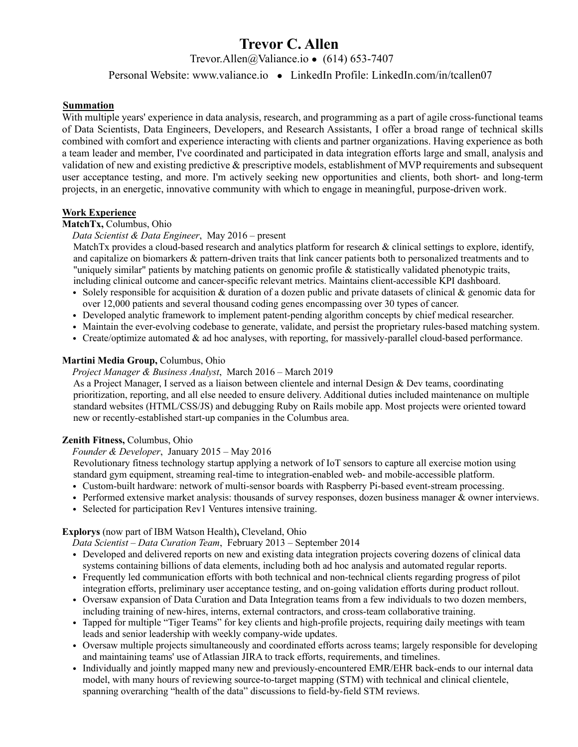# **Trevor C. Allen**

Trevor.Allen@Valiance.io ● (614) 653-7407

# Personal Website: www.valiance.io ● LinkedIn Profile: LinkedIn.com/in/tcallen07

## **Summation**

With multiple years' experience in data analysis, research, and programming as a part of agile cross-functional teams of Data Scientists, Data Engineers, Developers, and Research Assistants, I offer a broad range of technical skills combined with comfort and experience interacting with clients and partner organizations. Having experience as both a team leader and member, I've coordinated and participated in data integration efforts large and small, analysis and validation of new and existing predictive & prescriptive models, establishment of MVP requirements and subsequent user acceptance testing, and more. I'm actively seeking new opportunities and clients, both short- and long-term projects, in an energetic, innovative community with which to engage in meaningful, purpose-driven work.

## **Work Experience**

# **MatchTx,** Columbus, Ohio

## *Data Scientist & Data Engineer*, May 2016 – present

MatchTx provides a cloud-based research and analytics platform for research  $\&$  clinical settings to explore, identify, and capitalize on biomarkers & pattern-driven traits that link cancer patients both to personalized treatments and to "uniquely similar" patients by matching patients on genomic profile & statistically validated phenotypic traits, including clinical outcome and cancer-specific relevant metrics. Maintains client-accessible KPI dashboard.

- Solely responsible for acquisition & duration of a dozen public and private datasets of clinical & genomic data for over 12,000 patients and several thousand coding genes encompassing over 30 types of cancer.
- Developed analytic framework to implement patent-pending algorithm concepts by chief medical researcher.
- Maintain the ever-evolving codebase to generate, validate, and persist the proprietary rules-based matching system.
- Create/optimize automated & ad hoc analyses, with reporting, for massively-parallel cloud-based performance.

## **Martini Media Group,** Columbus, Ohio

*Project Manager & Business Analyst*, March 2016 – March 2019

As a Project Manager, I served as a liaison between clientele and internal Design & Dev teams, coordinating prioritization, reporting, and all else needed to ensure delivery. Additional duties included maintenance on multiple standard websites (HTML/CSS/JS) and debugging Ruby on Rails mobile app. Most projects were oriented toward new or recently-established start-up companies in the Columbus area.

#### **Zenith Fitness,** Columbus, Ohio

# *Founder & Developer*, January 2015 – May 2016

Revolutionary fitness technology startup applying a network of IoT sensors to capture all exercise motion using standard gym equipment, streaming real-time to integration-enabled web- and mobile-accessible platform.

- Custom-built hardware: network of multi-sensor boards with Raspberry Pi-based event-stream processing.
- Performed extensive market analysis: thousands of survey responses, dozen business manager  $\&$  owner interviews.
- Selected for participation Rev1 Ventures intensive training.

#### **Explorys** (now part of IBM Watson Health)**,** Cleveland, Ohio

*Data Scientist – Data Curation Team*, February 2013 – September 2014

- Developed and delivered reports on new and existing data integration projects covering dozens of clinical data systems containing billions of data elements, including both ad hoc analysis and automated regular reports.
- Frequently led communication efforts with both technical and non-technical clients regarding progress of pilot integration efforts, preliminary user acceptance testing, and on-going validation efforts during product rollout.
- Oversaw expansion of Data Curation and Data Integration teams from a few individuals to two dozen members, including training of new-hires, interns, external contractors, and cross-team collaborative training.
- Tapped for multiple "Tiger Teams" for key clients and high-profile projects, requiring daily meetings with team leads and senior leadership with weekly company-wide updates.
- Oversaw multiple projects simultaneously and coordinated efforts across teams; largely responsible for developing and maintaining teams' use of Atlassian JIRA to track efforts, requirements, and timelines.
- Individually and jointly mapped many new and previously-encountered EMR/EHR back-ends to our internal data model, with many hours of reviewing source-to-target mapping (STM) with technical and clinical clientele, spanning overarching "health of the data" discussions to field-by-field STM reviews.